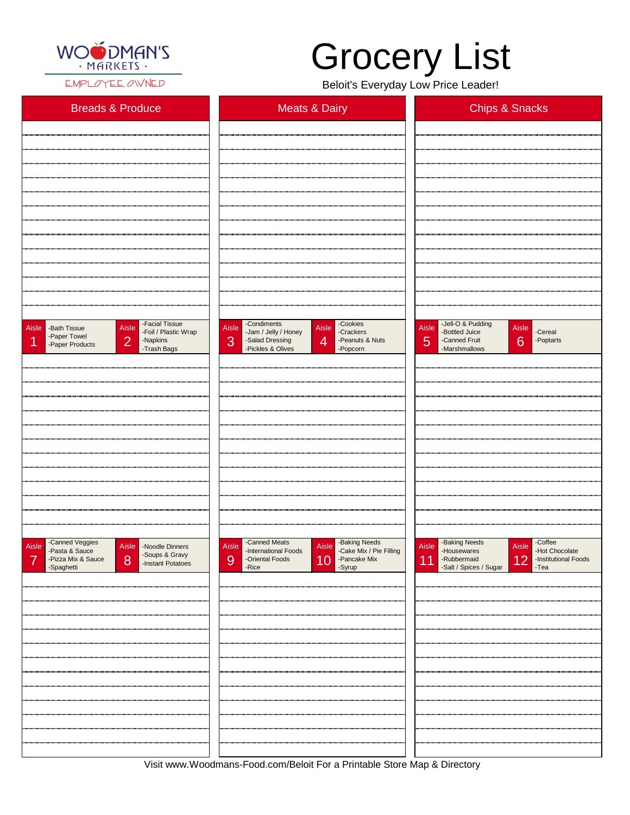

EMPLOYEE OWNED

| <b>Breads &amp; Produce</b>                                                                                                                                                                                                                                                                                                                                                                | <b>Meats &amp; Dairy</b>                                                                                                                                                     | <b>Chips &amp; Snacks</b>                                                                                              |
|--------------------------------------------------------------------------------------------------------------------------------------------------------------------------------------------------------------------------------------------------------------------------------------------------------------------------------------------------------------------------------------------|------------------------------------------------------------------------------------------------------------------------------------------------------------------------------|------------------------------------------------------------------------------------------------------------------------|
|                                                                                                                                                                                                                                                                                                                                                                                            |                                                                                                                                                                              |                                                                                                                        |
|                                                                                                                                                                                                                                                                                                                                                                                            |                                                                                                                                                                              |                                                                                                                        |
|                                                                                                                                                                                                                                                                                                                                                                                            |                                                                                                                                                                              |                                                                                                                        |
|                                                                                                                                                                                                                                                                                                                                                                                            |                                                                                                                                                                              |                                                                                                                        |
|                                                                                                                                                                                                                                                                                                                                                                                            |                                                                                                                                                                              |                                                                                                                        |
|                                                                                                                                                                                                                                                                                                                                                                                            |                                                                                                                                                                              |                                                                                                                        |
|                                                                                                                                                                                                                                                                                                                                                                                            |                                                                                                                                                                              |                                                                                                                        |
|                                                                                                                                                                                                                                                                                                                                                                                            |                                                                                                                                                                              |                                                                                                                        |
|                                                                                                                                                                                                                                                                                                                                                                                            |                                                                                                                                                                              |                                                                                                                        |
| -Facial Tissue<br>Aisle<br>Aisle - Bath Tissue<br>-Foil / Plastic Wrap<br>-Paper Towel<br>$\overline{2}$<br>1<br>-Napkins<br>-Paper Products<br>-Trash Bags                                                                                                                                                                                                                                | -Condiments<br>-Cookies<br>Aisle<br>Aisle<br>-Jam / Jelly / Honey<br>-Crackers<br>3<br>-Salad Dressing<br>$\overline{4}$<br>-Peanuts & Nuts<br>-Pickles & Olives<br>-Popcorn | Aisle -Jell-O & Pudding<br>Aisle<br>-Cereal<br>-Bottled Juice<br>6<br>5<br>-Canned Fruit<br>-Poptarts<br>-Marshmallows |
|                                                                                                                                                                                                                                                                                                                                                                                            |                                                                                                                                                                              |                                                                                                                        |
|                                                                                                                                                                                                                                                                                                                                                                                            |                                                                                                                                                                              |                                                                                                                        |
|                                                                                                                                                                                                                                                                                                                                                                                            |                                                                                                                                                                              |                                                                                                                        |
|                                                                                                                                                                                                                                                                                                                                                                                            |                                                                                                                                                                              |                                                                                                                        |
|                                                                                                                                                                                                                                                                                                                                                                                            |                                                                                                                                                                              |                                                                                                                        |
|                                                                                                                                                                                                                                                                                                                                                                                            |                                                                                                                                                                              |                                                                                                                        |
|                                                                                                                                                                                                                                                                                                                                                                                            |                                                                                                                                                                              |                                                                                                                        |
|                                                                                                                                                                                                                                                                                                                                                                                            |                                                                                                                                                                              |                                                                                                                        |
|                                                                                                                                                                                                                                                                                                                                                                                            |                                                                                                                                                                              |                                                                                                                        |
| -Canned Veggies<br>-Pasta & Sauce<br>Aisle<br>Aisle -Noodle Dinners<br>$\frac{1}{2}$ $\frac{1}{2}$ $\frac{1}{2}$ $\frac{1}{2}$ $\frac{1}{2}$ $\frac{1}{2}$ $\frac{1}{2}$ $\frac{1}{2}$ $\frac{1}{2}$ $\frac{1}{2}$ $\frac{1}{2}$ $\frac{1}{2}$ $\frac{1}{2}$ $\frac{1}{2}$ $\frac{1}{2}$ $\frac{1}{2}$ $\frac{1}{2}$ $\frac{1}{2}$ $\frac{1}{2}$ $\frac{1}{2}$ $\frac{1}{2}$ $\frac{1}{2}$ | -Canned Meats<br>-Baking Needs<br>-Cake Mix / Pie Filling<br>Aisle<br>Aisle<br>-International Foods                                                                          | -Baking Needs<br>-Coffee<br><b>Aisle</b><br>Aisle<br>-Hot Chocolate<br>-Housewares                                     |

| $1$ acta a case<br>-Soups & Gravy<br>-Instant Potatoes<br>8<br>-Pizza Mix & Sauce<br>$\overline{\mathbf{7}}$<br>-Spaghetti | nnonnanonan . seas<br>5.41<br>10 Pancake Mix<br>9<br>-Oriental Foods<br>-Rice<br>-Syrup | 110000110100<br>12 -Institutional Foods<br>11 - Rubbermaid<br>-Salt / Spices / Sugar<br>-Tea |
|----------------------------------------------------------------------------------------------------------------------------|-----------------------------------------------------------------------------------------|----------------------------------------------------------------------------------------------|
|                                                                                                                            |                                                                                         |                                                                                              |
|                                                                                                                            |                                                                                         |                                                                                              |
|                                                                                                                            |                                                                                         |                                                                                              |
|                                                                                                                            |                                                                                         |                                                                                              |
|                                                                                                                            |                                                                                         |                                                                                              |
|                                                                                                                            |                                                                                         |                                                                                              |
|                                                                                                                            |                                                                                         |                                                                                              |
|                                                                                                                            |                                                                                         |                                                                                              |
|                                                                                                                            |                                                                                         |                                                                                              |

Visit www.Woodmans-Food.com/Beloit For a Printable Store Map & Directory

## Grocery List

Beloit's Everyday Low Price Leader!